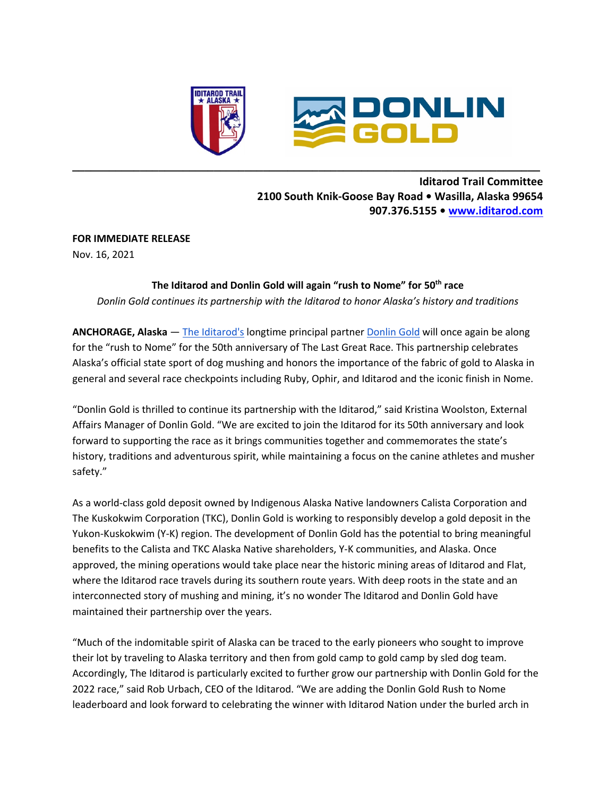

# **Iditarod Trail Committee 2100 South Knik-Goose Bay Road • Wasilla, Alaska 99654 907.376.5155 • www.iditarod.com**

#### **FOR IMMEDIATE RELEASE**

Nov. 16, 2021

# **The Iditarod and Donlin Gold will again "rush to Nome" for 50th race**

**\_\_\_\_\_\_\_\_\_\_\_\_\_\_\_\_\_\_\_\_\_\_\_\_\_\_\_\_\_\_\_\_\_\_\_\_\_\_\_\_\_\_\_\_\_\_\_\_\_\_\_\_\_\_\_\_\_\_\_\_\_\_\_\_\_\_\_\_\_\_\_\_\_\_\_\_**

*Donlin Gold continues its partnership with the Iditarod to honor Alaska's history and traditions*

**ANCHORAGE, Alaska** — The Iditarod's longtime principal partner Donlin Gold will once again be along for the "rush to Nome" for the 50th anniversary of The Last Great Race. This partnership celebrates Alaska's official state sport of dog mushing and honors the importance of the fabric of gold to Alaska in general and several race checkpoints including Ruby, Ophir, and Iditarod and the iconic finish in Nome.

"Donlin Gold is thrilled to continue its partnership with the Iditarod," said Kristina Woolston, External Affairs Manager of Donlin Gold. "We are excited to join the Iditarod for its 50th anniversary and look forward to supporting the race as it brings communities together and commemorates the state's history, traditions and adventurous spirit, while maintaining a focus on the canine athletes and musher safety."

As a world-class gold deposit owned by Indigenous Alaska Native landowners Calista Corporation and The Kuskokwim Corporation (TKC), Donlin Gold is working to responsibly develop a gold deposit in the Yukon-Kuskokwim (Y-K) region. The development of Donlin Gold has the potential to bring meaningful benefits to the Calista and TKC Alaska Native shareholders, Y-K communities, and Alaska. Once approved, the mining operations would take place near the historic mining areas of Iditarod and Flat, where the Iditarod race travels during its southern route years. With deep roots in the state and an interconnected story of mushing and mining, it's no wonder The Iditarod and Donlin Gold have maintained their partnership over the years.

"Much of the indomitable spirit of Alaska can be traced to the early pioneers who sought to improve their lot by traveling to Alaska territory and then from gold camp to gold camp by sled dog team. Accordingly, The Iditarod is particularly excited to further grow our partnership with Donlin Gold for the 2022 race," said Rob Urbach, CEO of the Iditarod. "We are adding the Donlin Gold Rush to Nome leaderboard and look forward to celebrating the winner with Iditarod Nation under the burled arch in